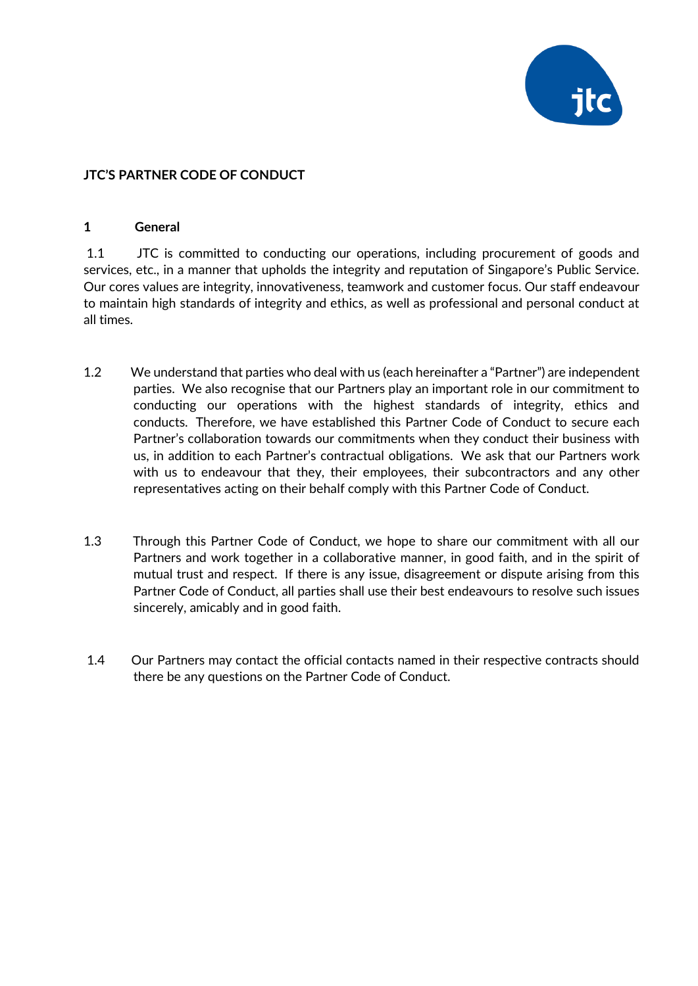

## **JTC'S PARTNER CODE OF CONDUCT**

#### **1 General**

1.1 JTC is committed to conducting our operations, including procurement of goods and services, etc., in a manner that upholds the integrity and reputation of Singapore's Public Service. Our cores values are integrity, innovativeness, teamwork and customer focus. Our staff endeavour to maintain high standards of integrity and ethics, as well as professional and personal conduct at all times.

- 1.2 We understand that parties who deal with us (each hereinafter a "Partner") are independent parties. We also recognise that our Partners play an important role in our commitment to conducting our operations with the highest standards of integrity, ethics and conducts. Therefore, we have established this Partner Code of Conduct to secure each Partner's collaboration towards our commitments when they conduct their business with us, in addition to each Partner's contractual obligations. We ask that our Partners work with us to endeavour that they, their employees, their subcontractors and any other representatives acting on their behalf comply with this Partner Code of Conduct.
- 1.3 Through this Partner Code of Conduct, we hope to share our commitment with all our Partners and work together in a collaborative manner, in good faith, and in the spirit of mutual trust and respect. If there is any issue, disagreement or dispute arising from this Partner Code of Conduct, all parties shall use their best endeavours to resolve such issues sincerely, amicably and in good faith.
- 1.4 Our Partners may contact the official contacts named in their respective contracts should there be any questions on the Partner Code of Conduct.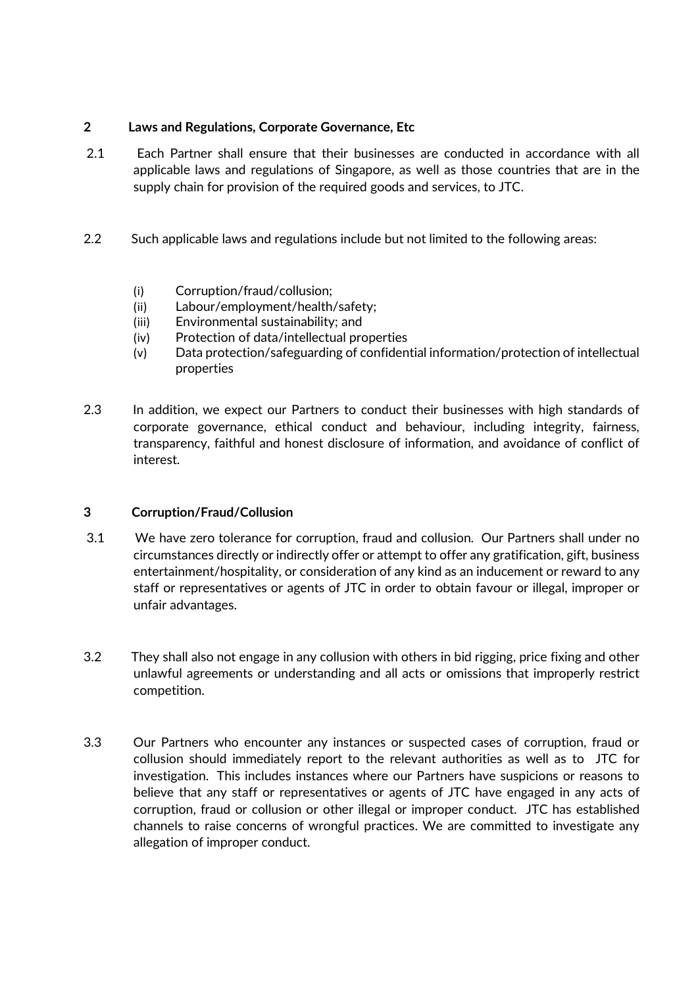## **2 Laws and Regulations, Corporate Governance, Etc**

- 2.1 Each Partner shall ensure that their businesses are conducted in accordance with all applicable laws and regulations of Singapore, as well as those countries that are in the supply chain for provision of the required goods and services, to JTC.
- 2.2 Such applicable laws and regulations include but not limited to the following areas:
	- (i) Corruption/fraud/collusion;
	- (ii) Labour/employment/health/safety;
	- (iii) Environmental sustainability; and
	- (iv) Protection of data/intellectual properties
	- (v) Data protection/safeguarding of confidential information/protection of intellectual properties
- 2.3 In addition, we expect our Partners to conduct their businesses with high standards of corporate governance, ethical conduct and behaviour, including integrity, fairness, transparency, faithful and honest disclosure of information, and avoidance of conflict of interest.

### **3 Corruption/Fraud/Collusion**

- 3.1 We have zero tolerance for corruption, fraud and collusion. Our Partners shall under no circumstances directly or indirectly offer or attempt to offer any gratification, gift, business entertainment/hospitality, or consideration of any kind as an inducement or reward to any staff or representatives or agents of JTC in order to obtain favour or illegal, improper or unfair advantages.
- 3.2 They shall also not engage in any collusion with others in bid rigging, price fixing and other unlawful agreements or understanding and all acts or omissions that improperly restrict competition.
- 3.3 Our Partners who encounter any instances or suspected cases of corruption, fraud or collusion should immediately report to the relevant authorities as well as to JTC for investigation. This includes instances where our Partners have suspicions or reasons to believe that any staff or representatives or agents of JTC have engaged in any acts of corruption, fraud or collusion or other illegal or improper conduct. JTC has established channels to raise concerns of wrongful practices. We are committed to investigate any allegation of improper conduct.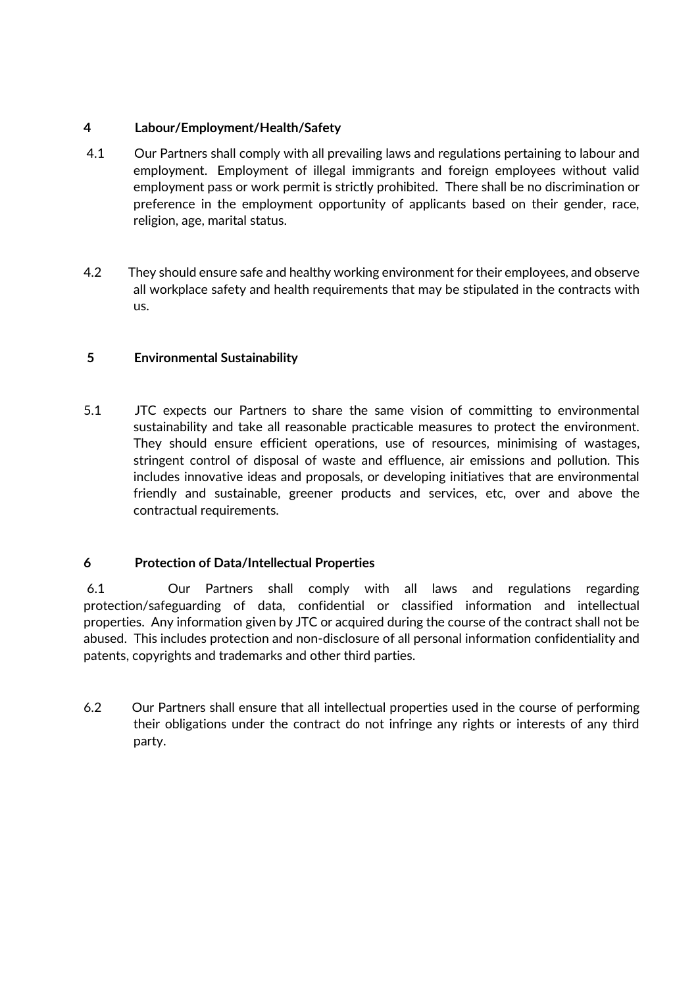## **4 Labour/Employment/Health/Safety**

- 4.1 Our Partners shall comply with all prevailing laws and regulations pertaining to labour and employment. Employment of illegal immigrants and foreign employees without valid employment pass or work permit is strictly prohibited. There shall be no discrimination or preference in the employment opportunity of applicants based on their gender, race, religion, age, marital status.
- 4.2 They should ensure safe and healthy working environment for their employees, and observe all workplace safety and health requirements that may be stipulated in the contracts with us.

# **5 Environmental Sustainability**

5.1 JTC expects our Partners to share the same vision of committing to environmental sustainability and take all reasonable practicable measures to protect the environment. They should ensure efficient operations, use of resources, minimising of wastages, stringent control of disposal of waste and effluence, air emissions and pollution. This includes innovative ideas and proposals, or developing initiatives that are environmental friendly and sustainable, greener products and services, etc, over and above the contractual requirements.

# **6 Protection of Data/Intellectual Properties**

6.1 Our Partners shall comply with all laws and regulations regarding protection/safeguarding of data, confidential or classified information and intellectual properties. Any information given by JTC or acquired during the course of the contract shall not be abused. This includes protection and non-disclosure of all personal information confidentiality and patents, copyrights and trademarks and other third parties.

6.2 Our Partners shall ensure that all intellectual properties used in the course of performing their obligations under the contract do not infringe any rights or interests of any third party.